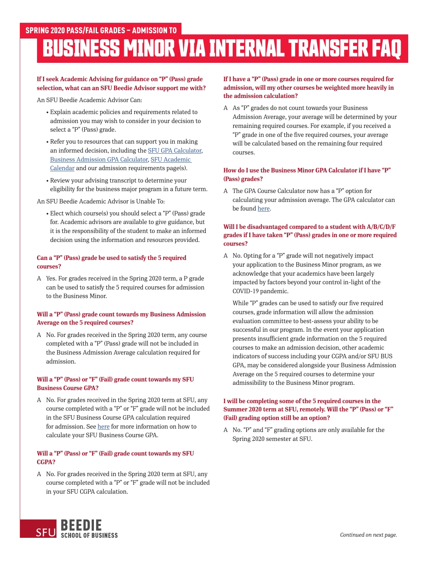# **BUSINESS MINOR VIA INTERNAL TRANSFER FAQ**

# **If I seek Academic Advising for guidance on "P" (Pass) grade selection, what can an SFU Beedie Advisor support me with?**

An SFU Beedie Academic Advisor Can:

- Explain academic policies and requirements related to admission you may wish to consider in your decision to select a "P" (Pass) grade.
- Refer you to resources that can support you in making an informed decision, including the [SFU GPA Calculator](https://www.sfu.ca/students/advising-resources/calculators/gpa-calculator.html), [Business Admission GPA Calculator](https://beedie.sfu.ca/programs/undergraduate/business-minor/how-to-apply/gpa-calculator-minor), [SFU Academic](https://www.sfu.ca/students/calendar/2020/spring.html)  [Calendar](https://www.sfu.ca/students/calendar/2020/spring.html) and our admission requirements page(s).
- Review your advising transcript to determine your eligibility for the business major program in a future term.

An SFU Beedie Academic Advisor is Unable To:

• Elect which course(s) you should select a "P" (Pass) grade for. Academic advisors are available to give guidance, but it is the responsibility of the student to make an informed decision using the information and resources provided.

#### **Can a "P" (Pass) grade be used to satisfy the 5 required courses?**

A Yes. For grades received in the Spring 2020 term, a P grade can be used to satisfy the 5 required courses for admission to the Business Minor.

## **Will a "P" (Pass) grade count towards my Business Admission Average on the 5 required courses?**

A No. For grades received in the Spring 2020 term, any course completed with a "P" (Pass) grade will not be included in the Business Admission Average calculation required for admission.

# **Will a "P" (Pass) or "F" (Fail) grade count towards my SFU Business Course GPA?**

A No. For grades received in the Spring 2020 term at SFU, any course completed with a "P" or "F" grade will not be included in the SFU Business Course GPA calculation required for admission. See [here](https://beedie.sfu.ca/resources/undergraduates/plan-your-degree/academic-support-and-skills#content) for more information on how to calculate your SFU Business Course GPA.

## **Will a "P" (Pass) or "F" (Fail) grade count towards my SFU CGPA?**

A No. For grades received in the Spring 2020 term at SFU, any course completed with a "P" or "F" grade will not be included in your SFU CGPA calculation.

## **If I have a "P" (Pass) grade in one or more courses required for admission, will my other courses be weighted more heavily in the admission calculation?**

A As "P" grades do not count towards your Business Admission Average, your average will be determined by your remaining required courses. For example, if you received a "P" grade in one of the five required courses, your average will be calculated based on the remaining four required courses.

## **How do I use the Business Minor GPA Calculator if I have "P" (Pass) grades?**

A The GPA Course Calculator now has a "P" option for calculating your admission average. The GPA calculator can be found [here.](https://beedie.sfu.ca/programs/undergraduate/business-minor/how-to-apply/gpa-calculator-minor)

## **Will I be disadvantaged compared to a student with A/B/C/D/F grades if I have taken "P" (Pass) grades in one or more required courses?**

A No. Opting for a "P" grade will not negatively impact your application to the Business Minor program, as we acknowledge that your academics have been largely impacted by factors beyond your control in-light of the COVID-19 pandemic.

 While "P" grades can be used to satisfy our five required courses, grade information will allow the admission evaluation committee to best-assess your ability to be successful in our program. In the event your application presents insufficient grade information on the 5 required courses to make an admission decision, other academic indicators of success including your CGPA and/or SFU BUS GPA, may be considered alongside your Business Admission Average on the 5 required courses to determine your admissibility to the Business Minor program.

## **I will be completing some of the 5 required courses in the Summer 2020 term at SFU, remotely. Will the "P" (Pass) or "F" (Fail) grading option still be an option?**

A No. "P" and "F" grading options are only available for the Spring 2020 semester at SFU.